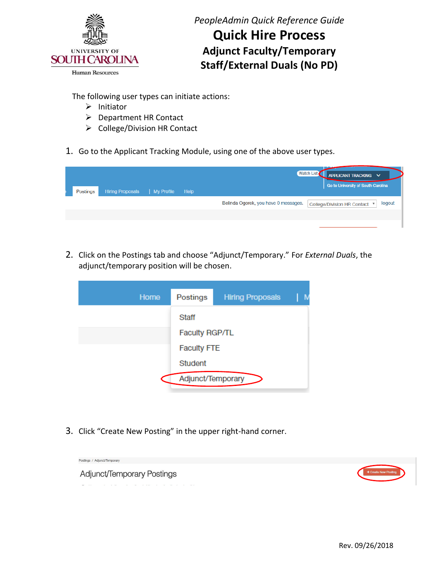

**Quick Hire Process Adjunct Faculty/Temporary Staff/External Duals (No PD)** 

The following user types can initiate actions:

- ➢ Initiator
- ➢ Department HR Contact
- ➢ College/Division HR Contact
- 1. Go to the Applicant Tracking Module, using one of the above user types.

| <b>Hiring Proposals</b><br>Postings | My Profile<br>Help | Watch List<br>APPLICANT TRACKING V<br>Go to University of South Carolina             |
|-------------------------------------|--------------------|--------------------------------------------------------------------------------------|
|                                     |                    | Belinda Ogorek, you have 0 messages.<br>logout<br><b>College/Division HR Contact</b> |
|                                     |                    |                                                                                      |

 2. Click on the Postings tab and choose "Adjunct/Temporary." For *External Duals*, the adjunct/temporary position will be chosen.

| Home | Postings              | <b>Hiring Proposals</b> |  |
|------|-----------------------|-------------------------|--|
|      | Staff                 |                         |  |
|      | <b>Faculty RGP/TL</b> |                         |  |
|      | <b>Faculty FTE</b>    |                         |  |
|      | Student               |                         |  |
|      | Adjunct/Temporary     |                         |  |

3. Click "Create New Posting" in the upper right-hand corner.

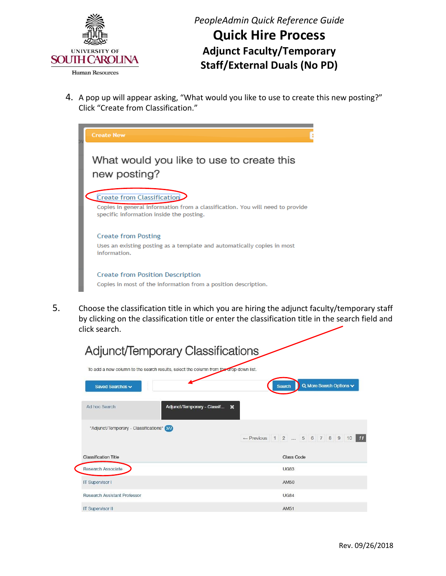

 4. A pop up will appear asking, "What would you like to use to create this new posting?" Click "Create from Classification."



 5. Choose the classification title in which you are hiring the adjunct faculty/temporary staff by clicking on the classification title or enter the classification title in the search field and click search.

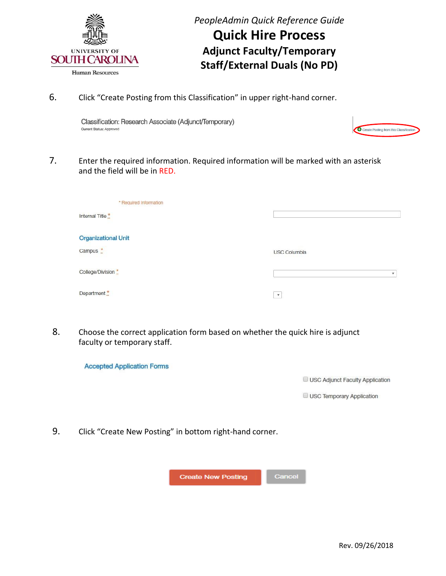

6. Click "Create Posting from this Classification" in upper right-hand corner.

Classification: Research Associate (Adjunct/Temporary) Current Status: Approved

| Create Posting from this Classification |
|-----------------------------------------|

 7. Enter the required information. Required information will be marked with an asterisk and the field will be in RED.

| * Required Information     |                         |
|----------------------------|-------------------------|
| Internal Title *           |                         |
|                            |                         |
| <b>Organizational Unit</b> |                         |
| Campus *                   | <b>USC Columbia</b>     |
|                            |                         |
| College/Division *         | $\overline{\mathbf{v}}$ |
| Department                 |                         |
|                            | $\mathbf{v}$            |

 8. Choose the correct application form based on whether the quick hire is adjunct faculty or temporary staff.

**Accepted Application Forms** 

USC Adjunct Faculty Application

USC Temporary Application

9. Click "Create New Posting" in bottom right-hand corner.

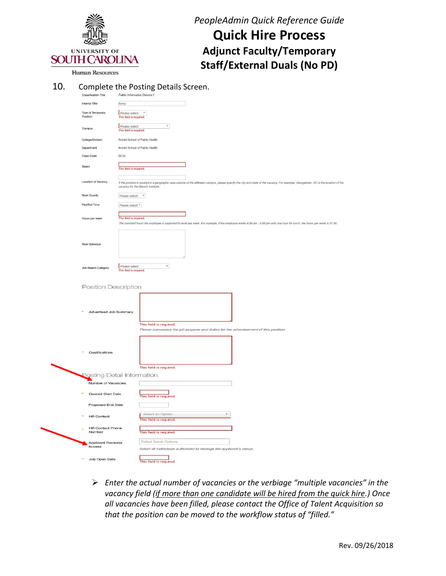

**Quick Hire Process Adjunct Faculty/Temporary Staff/External Duals (No PD)** 

Human Resources

#### 10. Complete the Posting Details Screen.

| <b>Classification Title</b>         | Public Information Director I                                                                                                                                                                                               |
|-------------------------------------|-----------------------------------------------------------------------------------------------------------------------------------------------------------------------------------------------------------------------------|
| Internal Title                      | temp                                                                                                                                                                                                                        |
| Type of Temporary<br>Position       | $\mathbf v$<br>Please select<br>This field is required.                                                                                                                                                                     |
| Campus                              | $\overline{\mathbf{v}}$<br>Please select<br>This field is required.                                                                                                                                                         |
| College/Division                    | Arnold School of Public Health                                                                                                                                                                                              |
| Department                          | Arnold School of Public Health                                                                                                                                                                                              |
| Class Code                          | <b>BC30</b>                                                                                                                                                                                                                 |
| Salary                              | This field is required.                                                                                                                                                                                                     |
| Location of Vacancy                 | If the position is located in a geographic area outside of the affiliated campus, please specify the city and state of the vacancy. For example, Georgetown, SC is the location of the<br>vacancy for the Baruch Institute. |
| <b>Work County</b>                  | Please select *                                                                                                                                                                                                             |
| Part/Full Time                      | Please select $*$                                                                                                                                                                                                           |
| Hours per week                      | This field is required.<br>The standard hours the employee is expected to work per week. For example, if the employee works 8:30 am - 5:00 pm with one hour for lunch, the hours per week is 37.50.                         |
| Work Schedule                       |                                                                                                                                                                                                                             |
| Job Search Category                 | $\pmb{\mathrm{v}}$<br>Please select<br>This field is required.                                                                                                                                                              |
| Position Description                |                                                                                                                                                                                                                             |
| <b>Advertised Job Summary</b>       | This field is required.<br>Please summarize the job purpose and duties for the advertisement of this position.                                                                                                              |
| Qualifications                      | This field is required.                                                                                                                                                                                                     |
|                                     | <b>Posting Detail Information</b>                                                                                                                                                                                           |
| Number of Vacancies                 |                                                                                                                                                                                                                             |
| <b>Desired Start Date</b>           | This field is required.                                                                                                                                                                                                     |
| Proposed End Date                   |                                                                                                                                                                                                                             |
| <b>HR Contact</b>                   | Select an Option<br>This field is required.                                                                                                                                                                                 |
| <b>HR Contact Phone</b><br>Number   | This field is required.                                                                                                                                                                                                     |
| <b>Applicant Reviewer</b><br>Access | Select Some Options<br>Select all individuals authorized to manage the applicant's status.                                                                                                                                  |
| Job Open Date                       | al di                                                                                                                                                                                                                       |

 ➢ *Enter the actual number of vacancies or the verbiage "multiple vacancies" in the vacancy field (if more than one candidate will be hired from the quick hire.) Once all vacancies have been filled, please contact the Office of Talent Acquisition so that the position can be moved to the workflow status of "filled."*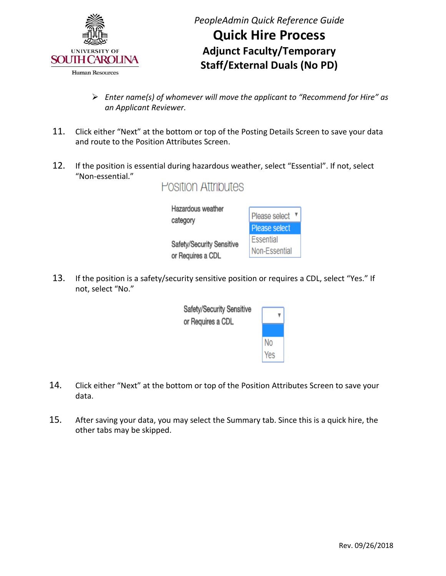

- ➢ *Enter name(s) of whomever will move the applicant to "Recommend for Hire" as an Applicant Reviewer.*
- 11. Click either "Next" at the bottom or top of the Posting Details Screen to save your data and route to the Position Attributes Screen.
- 12. If the position is essential during hazardous weather, select "Essential". If not, select "Non-essential."

**Position Attributes** 

| Hazardous weather<br>category | Please select ▼ |
|-------------------------------|-----------------|
|                               | Please select   |
| Safety/Security Sensitive     | Essential       |
| or Requires a CDL             | Non-Essential   |
|                               |                 |

13. If the position is a safety/security sensitive position or requires a CDL, select "Yes." If not, select "No."



- 14. Click either "Next" at the bottom or top of the Position Attributes Screen to save your data.
- 15. After saving your data, you may select the Summary tab. Since this is a quick hire, the other tabs may be skipped.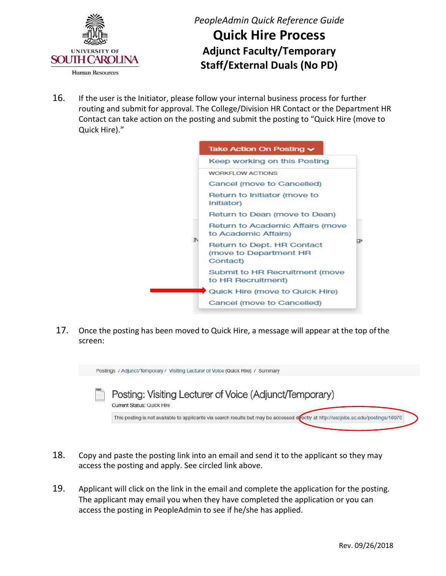

**Quick Hire Process Adjunct Faculty/Temporary Staff/External Duals (No PD)** 

16. If the user is the Initiator, please follow your internal business process for further routing and submit for approval. The College/Division HR Contact or the Department HR Contact can take action on the posting and submit the posting to "Quick Hire (move to Quick Hire)."



 17. Once the posting has been moved to Quick Hire, a message will appear at the top of the screen:



- 18. Copy and paste the posting link into an email and send it to the applicant so they may access the posting and apply. See circled link above.
- 19. Applicant will click on the link in the email and complete the application for the posting. The applicant may email you when they have completed the application or you can access the posting in PeopleAdmin to see if he/she has applied.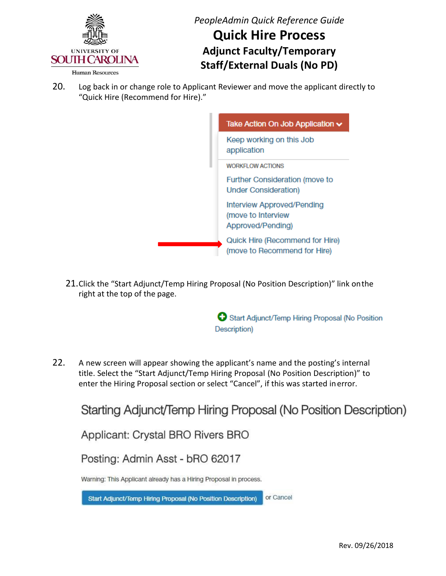

**Quick Hire Process Adjunct Faculty/Temporary Staff/External Duals (No PD)** 

20. Log back in or change role to Applicant Reviewer and move the applicant directly to "Quick Hire (Recommend for Hire)."



 21.Click the "Start Adjunct/Temp Hiring Proposal (No Position Description)" link onthe right at the top of the page.

> Start Adjunct/Temp Hiring Proposal (No Position Description)

22. A new screen will appear showing the applicant's name and the posting's internal title. Select the "Start Adjunct/Temp Hiring Proposal (No Position Description)" to enter the Hiring Proposal section or select "Cancel", if this was started inerror.

Starting Adjunct/Temp Hiring Proposal (No Position Description)

Applicant: Crystal BRO Rivers BRO

Posting: Admin Asst - bRO 62017

Warning: This Applicant already has a Hiring Proposal in process.

or Cancel Start Adjunct/Temp Hiring Proposal (No Position Description)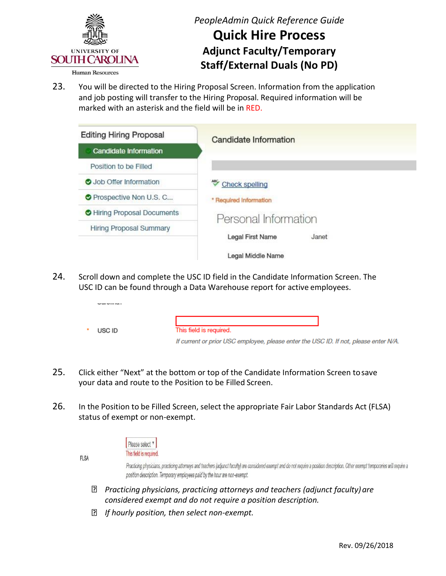

## **Quick Hire Process Adjunct Faculty/Temporary Staff/External Duals (No PD)**

 23. You will be directed to the Hiring Proposal Screen. Information from the application and job posting will transfer to the Hiring Proposal. Required information will be marked with an asterisk and the field will be in RED.



24. Scroll down and complete the USC ID field in the Candidate Information Screen. The USC ID can be found through a Data Warehouse report for active employees.

| USC ID | This field is required.                                                              |
|--------|--------------------------------------------------------------------------------------|
|        | If current or prior USC employee, please enter the USC ID. If not, please enter N/A. |

- 25. Click either "Next" at the bottom or top of the Candidate Information Screen tosave your data and route to the Position to be Filled Screen.
- status of exempt or non-exempt. 26. In the Position to be Filled Screen, select the appropriate Fair Labor Standards Act (FLSA)



**FLSA** 

Practicing physicians, practicing attorneys and teachers (adjunct faculty) are considered exempt and do not require a position description. Other exempt temporaries will require a position description. Temporary employees paid by the hour are non-exempt.

- *considered exempt and do not require a position description. Practicing physicians, practicing attorneys and teachers (adjunct faculty) are*
- *If hourly position, then select non-exempt.*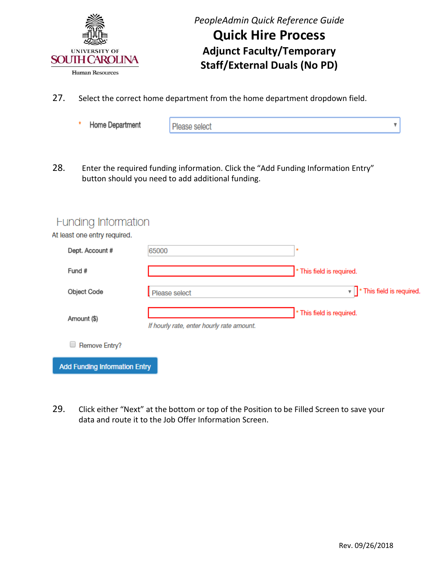

- 27. Select the correct home department from the home department dropdown field.
	- ŵ Home Department

Please select

28. Enter the required funding information. Click the "Add Funding Information Entry" button should you need to add additional funding.

### **Funding Intormation**

At least one entry required.

| Dept. Account #                      | 65000                                     | ٠                                        |
|--------------------------------------|-------------------------------------------|------------------------------------------|
| Fund #                               |                                           | * This field is required.                |
| Object Code                          | Please select                             | $\mathbf{v}$   * This field is required. |
| Amount (\$)                          | If hourly rate, enter hourly rate amount. | * This field is required.                |
| Remove Entry?                        |                                           |                                          |
| <b>Add Funding Information Entry</b> |                                           |                                          |

 data and route it to the Job Offer Information Screen. 29. Click either "Next" at the bottom or top of the Position to be Filled Screen to save your

4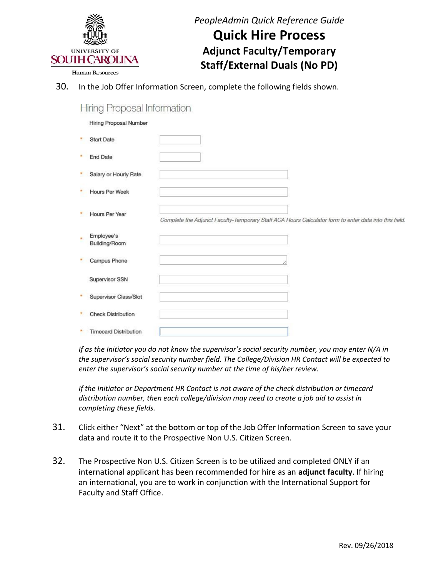

**Quick Hire Process Adjunct Faculty/Temporary Staff/External Duals (No PD)** 

30. In the Job Offer Information Screen, complete the following fields shown.

| <b>Hiring Proposal Information</b> |  |
|------------------------------------|--|
|------------------------------------|--|

Hiring Proposal Number

|    | <b>Start Date</b>            |                                                                                                       |
|----|------------------------------|-------------------------------------------------------------------------------------------------------|
| W. | <b>End Date</b>              |                                                                                                       |
|    | Salary or Hourly Rate        |                                                                                                       |
|    | <b>Hours Per Week</b>        |                                                                                                       |
|    | <b>Hours Per Year</b>        | Complete the Adjunct Faculty-Temporary Staff ACA Hours Calculator form to enter data into this field. |
|    | Employee's<br>Building/Room  |                                                                                                       |
|    | Campus Phone                 |                                                                                                       |
|    | Supervisor SSN               |                                                                                                       |
|    | Supervisor Class/Slot        |                                                                                                       |
|    | <b>Check Distribution</b>    |                                                                                                       |
|    | <b>Timecard Distribution</b> |                                                                                                       |

*If as the Initiator you do not know the supervisor's social security number, you may enter N/A in the supervisor's social security number field. The College/Division HR Contact will be expected to enter the supervisor's social security number at the time of his/her review.*

 *If the Initiator or Department HR Contact is not aware of the check distribution or timecard distribution number, then each college/division may need to create a job aid to assist in completing these fields.* 

- data and route it to the Prospective Non U.S. Citizen Screen. 31. Click either "Next" at the bottom or top of the Job Offer Information Screen to save your
- 32. The Prospective Non U.S. Citizen Screen is to be utilized and completed ONLY if an international applicant has been recommended for hire as an **adjunct faculty**. If hiring an international, you are to work in conjunction with the International Support for Faculty and Staff Office.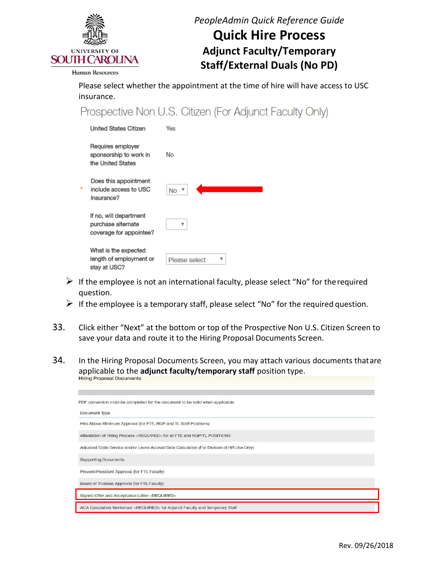

## **Quick Hire Process Adjunct Faculty/Temporary Staff/External Duals (No PD)**

**Human Resources** 

 Please select whether the appointment at the time of hire will have access to USC insurance.

Prospective Non U.S. Citizen (For Adjunct Faculty Only)

| <b>United States Citizen</b>                                            | Yes           |
|-------------------------------------------------------------------------|---------------|
| Requires employer<br>sponsorship to work in<br>the United States        | No            |
| Does this appointment<br>include access to USC<br>Insurance?            | <b>No</b>     |
| If no, will department<br>purchase alternate<br>coverage for appointee? | v             |
| What is the expected<br>length of employment or<br>stay at USC?         | Please select |

- $\triangleright$  If the employee is not an international faculty, please select "No" for the required question.
- $\triangleright$  If the employee is a temporary staff, please select "No" for the required question.
- 33. Click either "Next" at the bottom or top of the Prospective Non U.S. Citizen Screen to save your data and route it to the Hiring Proposal Documents Screen.
- 34. In the Hiring Proposal Documents Screen, you may attach various documents thatare applicable to the **adjunct faculty/temporary staff** position type.

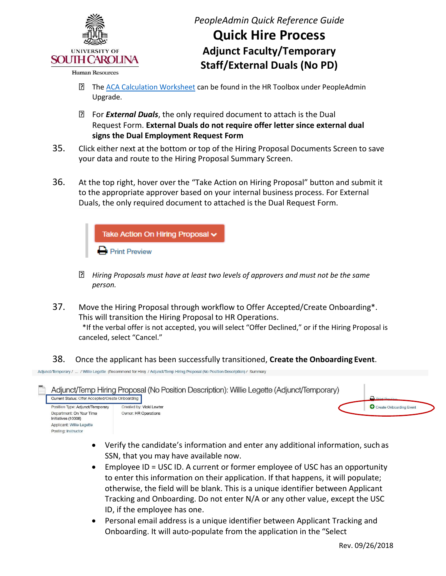

### **Quick Hire Process Adjunct Faculty/Temporary Staff/External Duals (No PD)**

- **Th[e ACA Calculation Worksheet c](http://www.sc.edu/about/offices_and_divisions/human_resources/docs/pa_aca_calculation_worksheet.pdf)an be found in the HR Toolbox under PeopleAdmin** Upgrade.
- For *External Duals*, the only required document to attach is the Dual  Request Form. **External Duals do not require offer letter since external dual signs the Dual Employment Request Form**
- your data and route to the Hiring Proposal Summary Screen. 35. Click either next at the bottom or top of the Hiring Proposal Documents Screen to save
- 36. At the top right, hover over the "Take Action on Hiring Proposal" button and submit it to the appropriate approver based on your internal business process. For External Duals, the only required document to attached is the Dual Request Form.



- *Hiring Proposals must have at least two levels of approvers and must not be the same person.*
- 37. Move the Hiring Proposal through workflow to Offer Accepted/Create Onboarding\*. This will transition the Hiring Proposal to HR Operations. \*If the verbal offer is not accepted, you will select "Offer Declined," or if the Hiring Proposal is canceled, select "Cancel."
- 38. Once the applicant has been successfully transitioned, **Create the Onboarding Event**.

Adjunct/Temporary / ... / Willie Legette (Recommend for Hire) / Adjunct/Temp Hiring Proposal (No Position Description) / Summary

Posting: Instructor

Adjunct/Temp Hiring Proposal (No Position Description): Willie Legette (Adjunct/Temporary) Current Status: Offer Accepted/Create Onboarding Position Type: Adjunct/Temporary **O** Create Onboarding Event Created by: Vicki Lewter Department: On Your Time Owner: HR Operations Initiatives (10008) Applicant: Willie Legette

- • Verify the candidate's information and enter any additional information, such as SSN, that you may have available now.
- • Employee ID = USC ID. A current or former employee of USC has an opportunity to enter this information on their application. If that happens, it will populate; otherwise, the field will be blank. This is a unique identifier between Applicant Tracking and Onboarding. Do not enter N/A or any other value, except the USC ID, if the employee has one.
- • Personal email address is a unique identifier between Applicant Tracking and Onboarding. It will auto-populate from the application in the "Select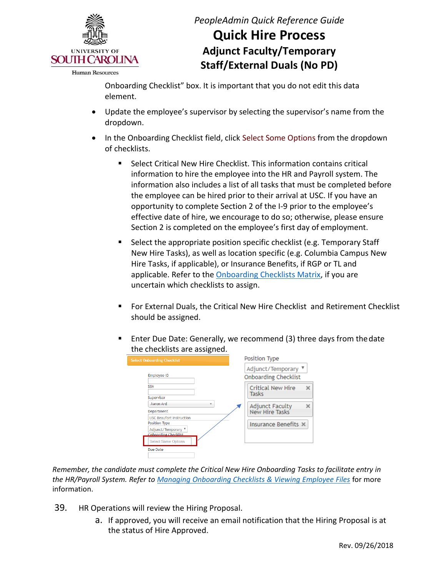

**Human Resources** 

*PeopleAdmin Quick Reference Guide* 

# **Quick Hire Process Adjunct Faculty/Temporary Staff/External Duals (No PD)**

 Onboarding Checklist" box. It is important that you do not edit this data element.

- Update the employee's supervisor by selecting the supervisor's name from the dropdown.
- • In the Onboarding Checklist field, click Select Some Options from the dropdown of checklists.
	- information to hire the employee into the HR and Payroll system. The information also includes a list of all tasks that must be completed before the employee can be hired prior to their arrival at USC. If you have an opportunity to complete Section 2 of the I-9 prior to the employee's effective date of hire, we encourage to do so; otherwise, please ensure Section 2 is completed on the employee's first day of employment. Select Critical New Hire Checklist. This information contains critical
	- Select the appropriate position specific checklist (e.g. Temporary Staff New Hire Tasks), as well as location specific (e.g. Columbia Campus New Hire Tasks, if applicable), or Insurance Benefits, if RGP or TL and applicable. Refer to the **Onboarding Checklists Matrix**, if you are uncertain which checklists to assign.
	- For External Duals, the Critical New Hire Checklist and Retirement Checklist should be assigned.
	- Enter Due Date: Generally, we recommend (3) three days from the date the checklists are assigned.

| <b>Select Onboarding Checklist</b>                             | Position Type                                      |
|----------------------------------------------------------------|----------------------------------------------------|
| <b>Employee ID</b>                                             | Adjunct/Temporary ▼<br><b>Onboarding Checklist</b> |
| <b>SSN</b>                                                     | <b>Critical New Hire</b><br>$\times$<br>Tasks      |
| Supervisor<br>Aaron Ard<br>v                                   | Adjunct Faculty<br>×                               |
| Department<br><b>USC Beaufort Instruction</b><br>Position Type | New Hire Tasks<br>Insurance Benefits X             |
| Adjunct/Temporary ▼<br>Onboarding Checklist                    |                                                    |
| <b>Select Some Options</b><br>Due Date                         |                                                    |
|                                                                |                                                    |

 *the HR/Payroll System. Refer to [Managing Onboarding Checklists & Viewing Employee Files](http://www.sc.edu/about/offices_and_divisions/human_resources/docs/pa_managing_onboarding_checklists_viewing_employee_files.pdf)* for more *Remember, the candidate must complete the Critical New Hire Onboarding Tasks to facilitate entry in*  information.

- 39. HR Operations will review the Hiring Proposal.
	- a. If approved, you will receive an email notification that the Hiring Proposal is at the status of Hire Approved.